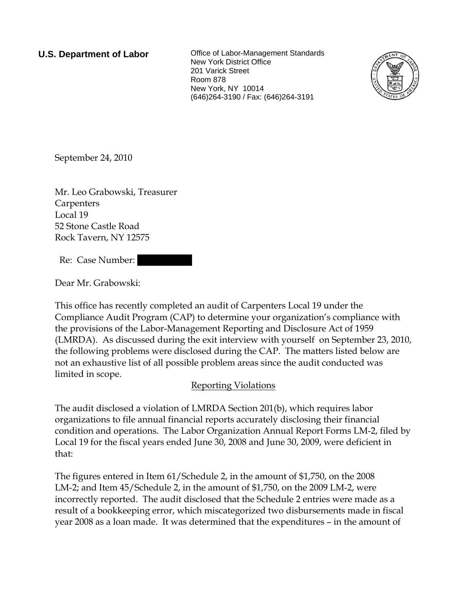**U.S. Department of Labor Collect** Office of Labor-Management Standards New York District Office 201 Varick Street Room 878 New York, NY 10014 (646)264-3190 / Fax: (646)264-3191



September 24, 2010

Mr. Leo Grabowski, Treasurer Carpenters Local 19 52 Stone Castle Road Rock Tavern, NY 12575

Re: Case Number:

Dear Mr. Grabowski:

This office has recently completed an audit of Carpenters Local 19 under the Compliance Audit Program (CAP) to determine your organization's compliance with the provisions of the Labor-Management Reporting and Disclosure Act of 1959 (LMRDA). As discussed during the exit interview with yourself on September 23, 2010, the following problems were disclosed during the CAP. The matters listed below are not an exhaustive list of all possible problem areas since the audit conducted was limited in scope.

## Reporting Violations

The audit disclosed a violation of LMRDA Section 201(b), which requires labor organizations to file annual financial reports accurately disclosing their financial condition and operations. The Labor Organization Annual Report Forms LM-2, filed by Local 19 for the fiscal years ended June 30, 2008 and June 30, 2009, were deficient in that:

The figures entered in Item 61/Schedule 2, in the amount of \$1,750, on the 2008 LM-2; and Item 45/Schedule 2, in the amount of \$1,750, on the 2009 LM-2, were incorrectly reported. The audit disclosed that the Schedule 2 entries were made as a result of a bookkeeping error, which miscategorized two disbursements made in fiscal year 2008 as a loan made. It was determined that the expenditures – in the amount of